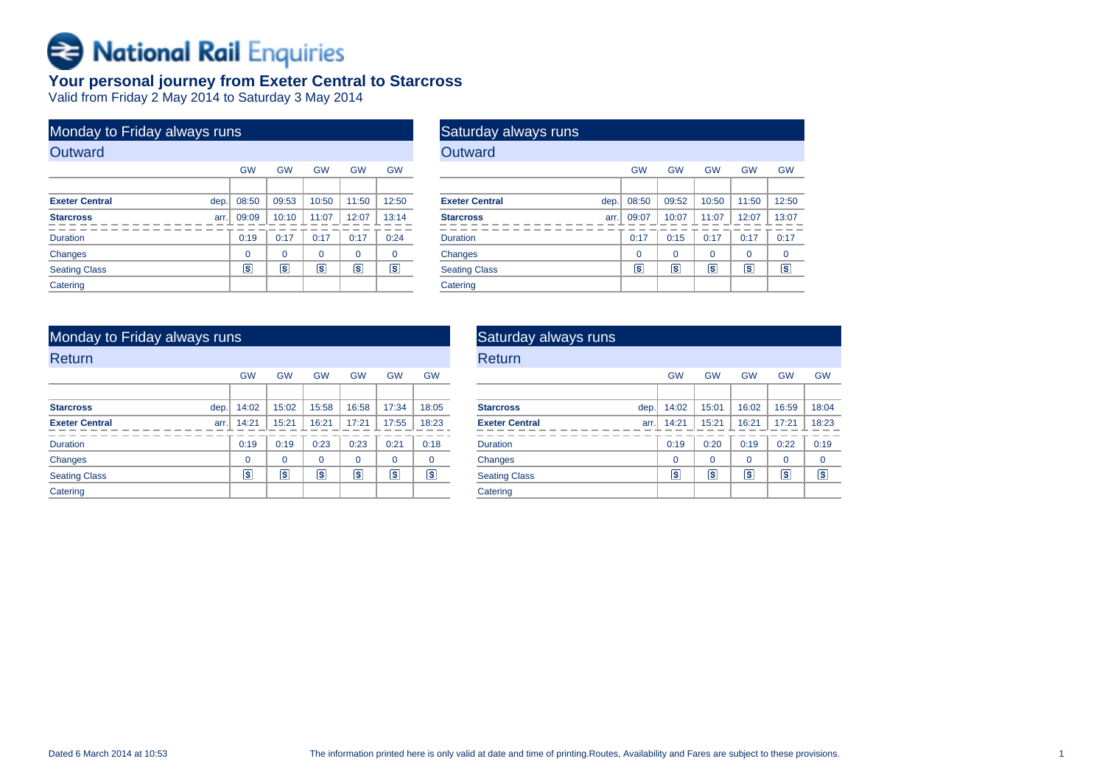# Rational Rail Enquiries

## **Your personal journey from Exeter Central to Starcross**

Valid from Friday 2 May 2014 to Saturday 3 May 2014

| Monday to Friday always runs  |                         |           |           |                         |           |
|-------------------------------|-------------------------|-----------|-----------|-------------------------|-----------|
| Outward                       |                         |           |           |                         |           |
|                               | <b>GW</b>               | <b>GW</b> | <b>GW</b> | <b>GW</b>               | <b>GW</b> |
|                               |                         |           |           |                         |           |
| <b>Exeter Central</b><br>dep. | 08:50                   | 09:53     | 10:50     | 11:50                   | 12:50     |
| <b>Starcross</b>              | 09:09<br>arr.           | 10:10     | 11:07     | 12:07                   | 13:14     |
| <b>Duration</b>               | 0:19                    | 0:17      | 0:17      | 0:17                    | 0:24      |
| Changes                       | $\Omega$                | $\Omega$  | $\Omega$  | $\Omega$                | 0         |
| <b>Seating Class</b>          | $\overline{\mathbf{s}}$ | s         | ls        | $\overline{\mathbf{s}}$ | s         |
| Catering                      |                         |           |           |                         |           |

## Saturday always runs**Outward**

| -------                       |           |             |                         |           |                      |
|-------------------------------|-----------|-------------|-------------------------|-----------|----------------------|
|                               | <b>GW</b> | <b>GW</b>   | <b>GW</b>               | <b>GW</b> | <b>GW</b>            |
|                               |           |             |                         |           |                      |
| <b>Exeter Central</b><br>dep. | 08:50     | 09:52       | 10:50                   | 11:50     | 12:50                |
| <b>Starcross</b><br>arr.      | 09:07     | 10:07       | 11:07                   | 12:07     | 13:07                |
| <b>Duration</b>               | 0:17      | 0:15        | 0:17                    | 0:17      | 0:17                 |
| Changes                       | 0         | $\mathbf 0$ | 0                       | 0         | 0                    |
| <b>Seating Class</b>          | $\vert$ S | $\vert$ s   | $\overline{\mathbf{s}}$ | s         | $\boxed{\mathbf{s}}$ |
| Catering                      |           |             |                         |           |                      |
|                               |           |             |                         |           |                      |

| Monday to Friday always runs  |                |                         |                         |             |           |                |
|-------------------------------|----------------|-------------------------|-------------------------|-------------|-----------|----------------|
| Return                        |                |                         |                         |             |           |                |
|                               | <b>GW</b>      | <b>GW</b>               | <b>GW</b>               | <b>GW</b>   | <b>GW</b> | <b>GW</b>      |
|                               |                |                         |                         |             |           |                |
| <b>Starcross</b><br>dep.      | 14:02          | 15:02                   | 15:58                   | 16:58       | 17:34     | 18:05          |
| <b>Exeter Central</b><br>arr. | 14:21          | 15:21                   | 16:21                   | 17:21       | 17:55     | 18:23          |
| <b>Duration</b>               | 0:19           | 0:19                    | 0:23                    | 0:23        | 0:21      | 0:18           |
| Changes                       | $\Omega$       | $\Omega$                | $\Omega$                | $\mathbf 0$ | $\Omega$  | $\mathbf 0$    |
| <b>Seating Class</b>          | $ \mathsf{s} $ | $\overline{\mathbf{s}}$ | $\overline{\mathbf{s}}$ | s           | ls.       | $ \mathsf{s} $ |
| Catering                      |                |                         |                         |             |           |                |

| Saturday always runs          |                |                 |           |           |                |
|-------------------------------|----------------|-----------------|-----------|-----------|----------------|
| Return                        |                |                 |           |           |                |
|                               | <b>GW</b>      | <b>GW</b>       | <b>GW</b> | <b>GW</b> | <b>GW</b>      |
|                               |                |                 |           |           |                |
| <b>Starcross</b><br>dep.      | 14:02          | 15:01           | 16:02     | 16:59     | 18:04          |
| <b>Exeter Central</b><br>arr. | 14:21          | 15:21           | 16:21     | 17:21     | 18:23          |
| <b>Duration</b>               | 0:19           | 0:20            | 0:19      | 0:22      | 0:19           |
| Changes                       | $\Omega$       | $\Omega$        | $\Omega$  | $\Omega$  | 0              |
| <b>Seating Class</b>          | $ \mathsf{s} $ | $\vert s \vert$ | s         | ls.       | $ \mathsf{s} $ |
| Catering                      |                |                 |           |           |                |